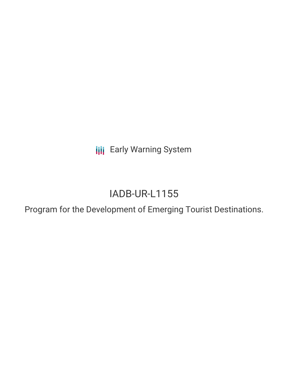**III** Early Warning System

# IADB-UR-L1155

Program for the Development of Emerging Tourist Destinations.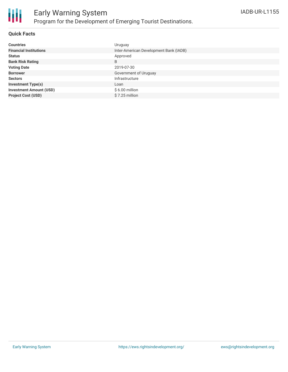

#### **Quick Facts**

| <b>Countries</b>               | Uruguay                                |
|--------------------------------|----------------------------------------|
| <b>Financial Institutions</b>  | Inter-American Development Bank (IADB) |
| <b>Status</b>                  | Approved                               |
| <b>Bank Risk Rating</b>        | B                                      |
| <b>Voting Date</b>             | 2019-07-30                             |
| <b>Borrower</b>                | Government of Uruguay                  |
| <b>Sectors</b>                 | Infrastructure                         |
| <b>Investment Type(s)</b>      | Loan                                   |
| <b>Investment Amount (USD)</b> | $$6.00$ million                        |
| <b>Project Cost (USD)</b>      | \$7.25 million                         |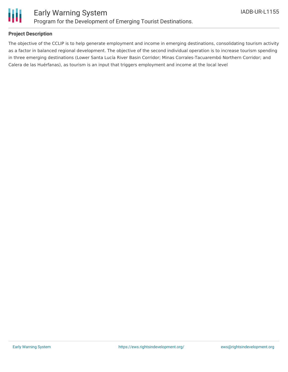

### **Project Description**

The objective of the CCLIP is to help generate employment and income in emerging destinations, consolidating tourism activity as a factor in balanced regional development. The objective of the second individual operation is to increase tourism spending in three emerging destinations (Lower Santa Lucía River Basin Corridor; Minas Corrales-Tacuarembó Northern Corridor; and Calera de las Huérfanas), as tourism is an input that triggers employment and income at the local level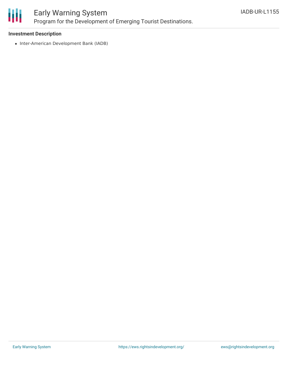

## Early Warning System Program for the Development of Emerging Tourist Destinations.

#### **Investment Description**

• Inter-American Development Bank (IADB)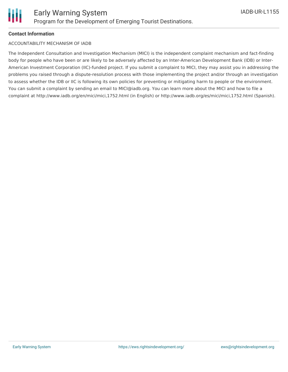### **Contact Information**

#### ACCOUNTABILITY MECHANISM OF IADB

The Independent Consultation and Investigation Mechanism (MICI) is the independent complaint mechanism and fact-finding body for people who have been or are likely to be adversely affected by an Inter-American Development Bank (IDB) or Inter-American Investment Corporation (IIC)-funded project. If you submit a complaint to MICI, they may assist you in addressing the problems you raised through a dispute-resolution process with those implementing the project and/or through an investigation to assess whether the IDB or IIC is following its own policies for preventing or mitigating harm to people or the environment. You can submit a complaint by sending an email to MICI@iadb.org. You can learn more about the MICI and how to file a complaint at http://www.iadb.org/en/mici/mici,1752.html (in English) or http://www.iadb.org/es/mici/mici,1752.html (Spanish).